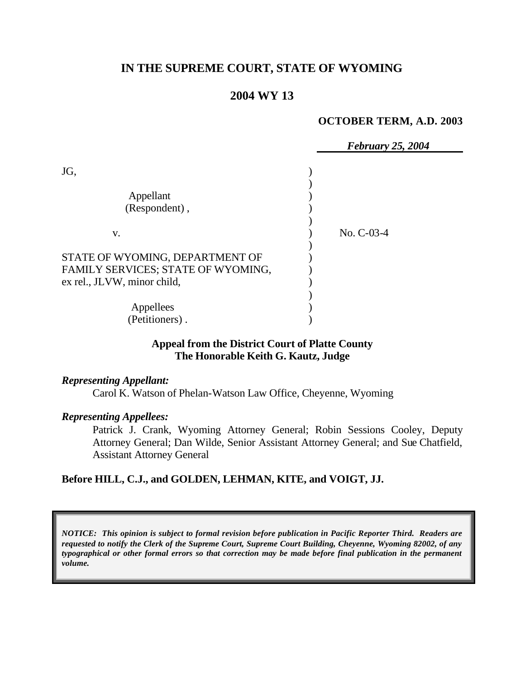# **IN THE SUPREME COURT, STATE OF WYOMING**

## **2004 WY 13**

#### **OCTOBER TERM, A.D. 2003**

|                                    | <b>February 25, 2004</b> |  |
|------------------------------------|--------------------------|--|
| JG,                                |                          |  |
|                                    |                          |  |
| Appellant                          |                          |  |
| (Respondent),                      |                          |  |
|                                    |                          |  |
| V.                                 | No. C-03-4               |  |
|                                    |                          |  |
| STATE OF WYOMING, DEPARTMENT OF    |                          |  |
| FAMILY SERVICES; STATE OF WYOMING, |                          |  |
| ex rel., JLVW, minor child,        |                          |  |
|                                    |                          |  |
| Appellees                          |                          |  |
| (Petitioners).                     |                          |  |

### **Appeal from the District Court of Platte County The Honorable Keith G. Kautz, Judge**

*Representing Appellant:*

Carol K. Watson of Phelan-Watson Law Office, Cheyenne, Wyoming

#### *Representing Appellees:*

Patrick J. Crank, Wyoming Attorney General; Robin Sessions Cooley, Deputy Attorney General; Dan Wilde, Senior Assistant Attorney General; and Sue Chatfield, Assistant Attorney General

### **Before HILL, C.J., and GOLDEN, LEHMAN, KITE, and VOIGT, JJ.**

*NOTICE: This opinion is subject to formal revision before publication in Pacific Reporter Third. Readers are requested to notify the Clerk of the Supreme Court, Supreme Court Building, Cheyenne, Wyoming 82002, of any typographical or other formal errors so that correction may be made before final publication in the permanent volume.*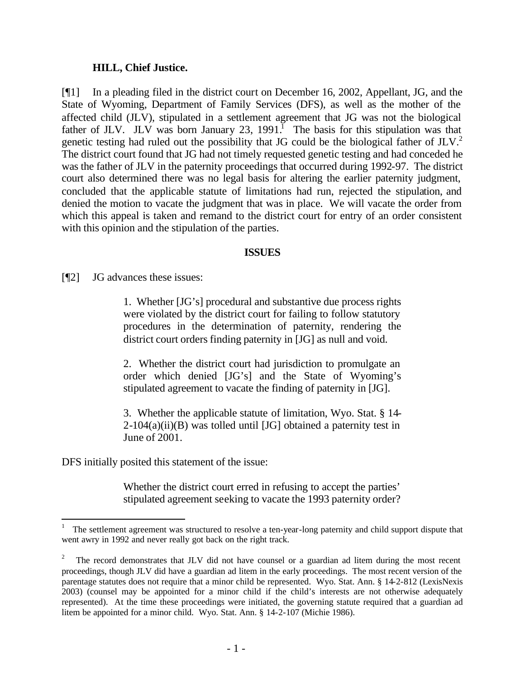### **HILL, Chief Justice.**

[¶1] In a pleading filed in the district court on December 16, 2002, Appellant, JG, and the State of Wyoming, Department of Family Services (DFS), as well as the mother of the affected child (JLV), stipulated in a settlement agreement that JG was not the biological father of JLV. JLV was born January 23, 1991.<sup>I</sup> The basis for this stipulation was that genetic testing had ruled out the possibility that JG could be the biological father of JLV.<sup>2</sup> The district court found that JG had not timely requested genetic testing and had conceded he was the father of JLV in the paternity proceedings that occurred during 1992-97. The district court also determined there was no legal basis for altering the earlier paternity judgment, concluded that the applicable statute of limitations had run, rejected the stipulation, and denied the motion to vacate the judgment that was in place. We will vacate the order from which this appeal is taken and remand to the district court for entry of an order consistent with this opinion and the stipulation of the parties.

### **ISSUES**

[¶2] JG advances these issues:

1. Whether [JG's] procedural and substantive due process rights were violated by the district court for failing to follow statutory procedures in the determination of paternity, rendering the district court orders finding paternity in [JG] as null and void.

2. Whether the district court had jurisdiction to promulgate an order which denied [JG's] and the State of Wyoming's stipulated agreement to vacate the finding of paternity in [JG].

3. Whether the applicable statute of limitation, Wyo. Stat. § 14-  $2\n-104(a)(ii)(B)$  was tolled until [JG] obtained a paternity test in June of 2001.

DFS initially posited this statement of the issue:

l

Whether the district court erred in refusing to accept the parties' stipulated agreement seeking to vacate the 1993 paternity order?

<sup>1</sup> The settlement agreement was structured to resolve a ten-year-long paternity and child support dispute that went awry in 1992 and never really got back on the right track.

<sup>2</sup> The record demonstrates that JLV did not have counsel or a guardian ad litem during the most recent proceedings, though JLV did have a guardian ad litem in the early proceedings. The most recent version of the parentage statutes does not require that a minor child be represented. Wyo. Stat. Ann. § 14-2-812 (LexisNexis 2003) (counsel may be appointed for a minor child if the child's interests are not otherwise adequately represented). At the time these proceedings were initiated, the governing statute required that a guardian ad litem be appointed for a minor child. Wyo. Stat. Ann. § 14-2-107 (Michie 1986).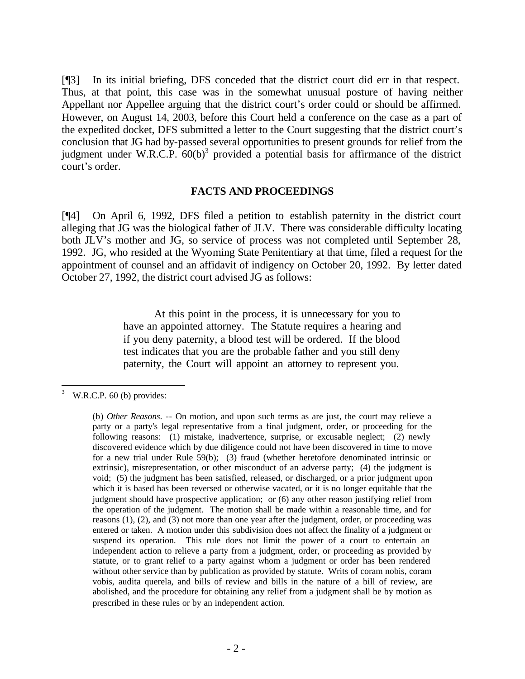[¶3] In its initial briefing, DFS conceded that the district court did err in that respect. Thus, at that point, this case was in the somewhat unusual posture of having neither Appellant nor Appellee arguing that the district court's order could or should be affirmed. However, on August 14, 2003, before this Court held a conference on the case as a part of the expedited docket, DFS submitted a letter to the Court suggesting that the district court's conclusion that JG had by-passed several opportunities to present grounds for relief from the judgment under W.R.C.P.  $60(b)^3$  provided a potential basis for affirmance of the district court's order.

#### **FACTS AND PROCEEDINGS**

[¶4] On April 6, 1992, DFS filed a petition to establish paternity in the district court alleging that JG was the biological father of JLV. There was considerable difficulty locating both JLV's mother and JG, so service of process was not completed until September 28, 1992. JG, who resided at the Wyoming State Penitentiary at that time, filed a request for the appointment of counsel and an affidavit of indigency on October 20, 1992. By letter dated October 27, 1992, the district court advised JG as follows:

> At this point in the process, it is unnecessary for you to have an appointed attorney. The Statute requires a hearing and if you deny paternity, a blood test will be ordered. If the blood test indicates that you are the probable father and you still deny paternity, the Court will appoint an attorney to represent you.

 $\frac{3}{3}$  W.R.C.P. 60 (b) provides:

<sup>(</sup>b) *Other Reasons*. -- On motion, and upon such terms as are just, the court may relieve a party or a party's legal representative from a final judgment, order, or proceeding for the following reasons: (1) mistake, inadvertence, surprise, or excusable neglect; (2) newly discovered evidence which by due diligence could not have been discovered in time to move for a new trial under Rule 59(b); (3) fraud (whether heretofore denominated intrinsic or extrinsic), misrepresentation, or other misconduct of an adverse party; (4) the judgment is void; (5) the judgment has been satisfied, released, or discharged, or a prior judgment upon which it is based has been reversed or otherwise vacated, or it is no longer equitable that the judgment should have prospective application; or (6) any other reason justifying relief from the operation of the judgment. The motion shall be made within a reasonable time, and for reasons (1), (2), and (3) not more than one year after the judgment, order, or proceeding was entered or taken. A motion under this subdivision does not affect the finality of a judgment or suspend its operation. This rule does not limit the power of a court to entertain an independent action to relieve a party from a judgment, order, or proceeding as provided by statute, or to grant relief to a party against whom a judgment or order has been rendered without other service than by publication as provided by statute. Writs of coram nobis, coram vobis, audita querela, and bills of review and bills in the nature of a bill of review, are abolished, and the procedure for obtaining any relief from a judgment shall be by motion as prescribed in these rules or by an independent action.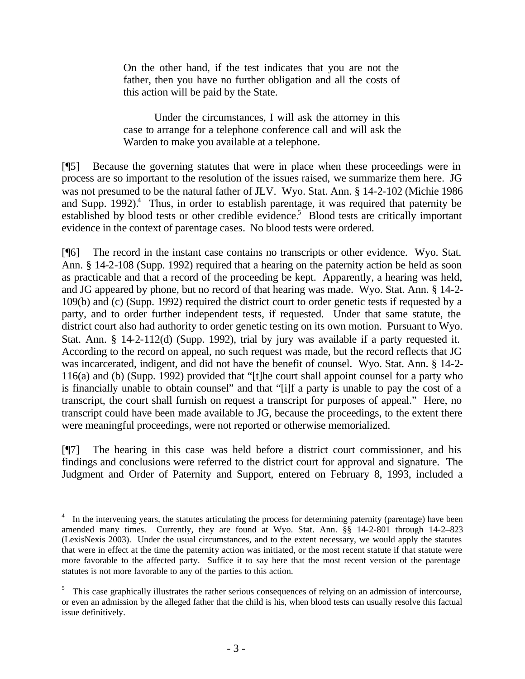On the other hand, if the test indicates that you are not the father, then you have no further obligation and all the costs of this action will be paid by the State.

Under the circumstances, I will ask the attorney in this case to arrange for a telephone conference call and will ask the Warden to make you available at a telephone.

[¶5] Because the governing statutes that were in place when these proceedings were in process are so important to the resolution of the issues raised, we summarize them here. JG was not presumed to be the natural father of JLV. Wyo. Stat. Ann. § 14-2-102 (Michie 1986 and Supp. 1992).<sup>4</sup> Thus, in order to establish parentage, it was required that paternity be established by blood tests or other credible evidence.<sup>5</sup> Blood tests are critically important evidence in the context of parentage cases. No blood tests were ordered.

[¶6] The record in the instant case contains no transcripts or other evidence. Wyo. Stat. Ann. § 14-2-108 (Supp. 1992) required that a hearing on the paternity action be held as soon as practicable and that a record of the proceeding be kept. Apparently, a hearing was held, and JG appeared by phone, but no record of that hearing was made. Wyo. Stat. Ann. § 14-2- 109(b) and (c) (Supp. 1992) required the district court to order genetic tests if requested by a party, and to order further independent tests, if requested. Under that same statute, the district court also had authority to order genetic testing on its own motion. Pursuant to Wyo. Stat. Ann. § 14-2-112(d) (Supp. 1992), trial by jury was available if a party requested it. According to the record on appeal, no such request was made, but the record reflects that JG was incarcerated, indigent, and did not have the benefit of counsel. Wyo. Stat. Ann. § 14-2- 116(a) and (b) (Supp. 1992) provided that "[t]he court shall appoint counsel for a party who is financially unable to obtain counsel" and that "[i]f a party is unable to pay the cost of a transcript, the court shall furnish on request a transcript for purposes of appeal." Here, no transcript could have been made available to JG, because the proceedings, to the extent there were meaningful proceedings, were not reported or otherwise memorialized.

[¶7] The hearing in this case was held before a district court commissioner, and his findings and conclusions were referred to the district court for approval and signature. The Judgment and Order of Paternity and Support, entered on February 8, 1993, included a

l

<sup>4</sup> In the intervening years, the statutes articulating the process for determining paternity (parentage) have been amended many times. Currently, they are found at Wyo. Stat. Ann. §§ 14-2-801 through 14-2–823 (LexisNexis 2003). Under the usual circumstances, and to the extent necessary, we would apply the statutes that were in effect at the time the paternity action was initiated, or the most recent statute if that statute were more favorable to the affected party. Suffice it to say here that the most recent version of the parentage statutes is not more favorable to any of the parties to this action.

<sup>&</sup>lt;sup>5</sup> This case graphically illustrates the rather serious consequences of relying on an admission of intercourse, or even an admission by the alleged father that the child is his, when blood tests can usually resolve this factual issue definitively.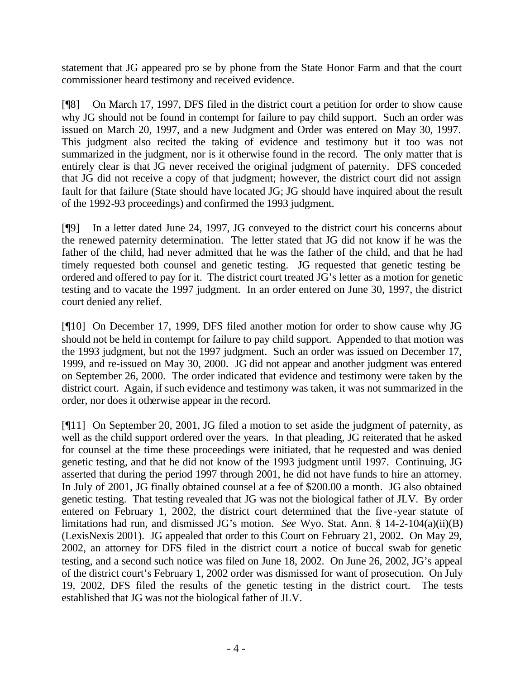statement that JG appeared pro se by phone from the State Honor Farm and that the court commissioner heard testimony and received evidence.

[¶8] On March 17, 1997, DFS filed in the district court a petition for order to show cause why JG should not be found in contempt for failure to pay child support. Such an order was issued on March 20, 1997, and a new Judgment and Order was entered on May 30, 1997. This judgment also recited the taking of evidence and testimony but it too was not summarized in the judgment, nor is it otherwise found in the record. The only matter that is entirely clear is that JG never received the original judgment of paternity. DFS conceded that JG did not receive a copy of that judgment; however, the district court did not assign fault for that failure (State should have located JG; JG should have inquired about the result of the 1992-93 proceedings) and confirmed the 1993 judgment.

[¶9] In a letter dated June 24, 1997, JG conveyed to the district court his concerns about the renewed paternity determination. The letter stated that JG did not know if he was the father of the child, had never admitted that he was the father of the child, and that he had timely requested both counsel and genetic testing. JG requested that genetic testing be ordered and offered to pay for it. The district court treated JG's letter as a motion for genetic testing and to vacate the 1997 judgment. In an order entered on June 30, 1997, the district court denied any relief.

[¶10] On December 17, 1999, DFS filed another motion for order to show cause why JG should not be held in contempt for failure to pay child support. Appended to that motion was the 1993 judgment, but not the 1997 judgment. Such an order was issued on December 17, 1999, and re-issued on May 30, 2000. JG did not appear and another judgment was entered on September 26, 2000. The order indicated that evidence and testimony were taken by the district court. Again, if such evidence and testimony was taken, it was not summarized in the order, nor does it otherwise appear in the record.

[¶11] On September 20, 2001, JG filed a motion to set aside the judgment of paternity, as well as the child support ordered over the years. In that pleading, JG reiterated that he asked for counsel at the time these proceedings were initiated, that he requested and was denied genetic testing, and that he did not know of the 1993 judgment until 1997. Continuing, JG asserted that during the period 1997 through 2001, he did not have funds to hire an attorney. In July of 2001, JG finally obtained counsel at a fee of \$200.00 a month. JG also obtained genetic testing. That testing revealed that JG was not the biological father of JLV. By order entered on February 1, 2002, the district court determined that the five -year statute of limitations had run, and dismissed JG's motion. *See* Wyo. Stat. Ann. § 14-2-104(a)(ii)(B) (LexisNexis 2001). JG appealed that order to this Court on February 21, 2002. On May 29, 2002, an attorney for DFS filed in the district court a notice of buccal swab for genetic testing, and a second such notice was filed on June 18, 2002. On June 26, 2002, JG's appeal of the district court's February 1, 2002 order was dismissed for want of prosecution. On July 19, 2002, DFS filed the results of the genetic testing in the district court. The tests established that JG was not the biological father of JLV.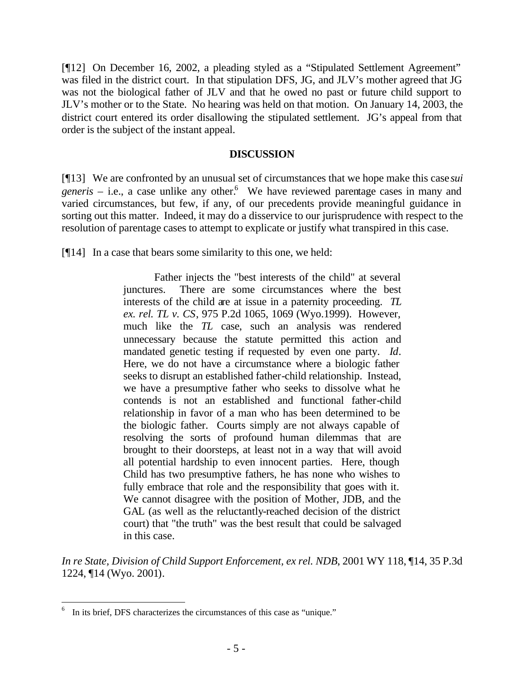[¶12] On December 16, 2002, a pleading styled as a "Stipulated Settlement Agreement" was filed in the district court. In that stipulation DFS, JG, and JLV's mother agreed that JG was not the biological father of JLV and that he owed no past or future child support to JLV's mother or to the State. No hearing was held on that motion. On January 14, 2003, the district court entered its order disallowing the stipulated settlement. JG's appeal from that order is the subject of the instant appeal.

### **DISCUSSION**

[¶13] We are confronted by an unusual set of circumstances that we hope make this case *sui*  generis – i.e., a case unlike any other.<sup>6</sup> We have reviewed parentage cases in many and varied circumstances, but few, if any, of our precedents provide meaningful guidance in sorting out this matter. Indeed, it may do a disservice to our jurisprudence with respect to the resolution of parentage cases to attempt to explicate or justify what transpired in this case.

[¶14] In a case that bears some similarity to this one, we held:

Father injects the "best interests of the child" at several junctures. There are some circumstances where the best interests of the child are at issue in a paternity proceeding. *TL ex. rel. TL v. CS*, 975 P.2d 1065, 1069 (Wyo.1999). However, much like the *TL* case, such an analysis was rendered unnecessary because the statute permitted this action and mandated genetic testing if requested by even one party. *Id*. Here, we do not have a circumstance where a biologic father seeks to disrupt an established father-child relationship. Instead, we have a presumptive father who seeks to dissolve what he contends is not an established and functional father-child relationship in favor of a man who has been determined to be the biologic father. Courts simply are not always capable of resolving the sorts of profound human dilemmas that are brought to their doorsteps, at least not in a way that will avoid all potential hardship to even innocent parties. Here, though Child has two presumptive fathers, he has none who wishes to fully embrace that role and the responsibility that goes with it. We cannot disagree with the position of Mother, JDB, and the GAL (as well as the reluctantly-reached decision of the district court) that "the truth" was the best result that could be salvaged in this case.

*In re State, Division of Child Support Enforcement, ex rel. NDB*, 2001 WY 118, ¶14, 35 P.3d 1224, ¶14 (Wyo. 2001).

l

<sup>6</sup> In its brief, DFS characterizes the circumstances of this case as "unique."